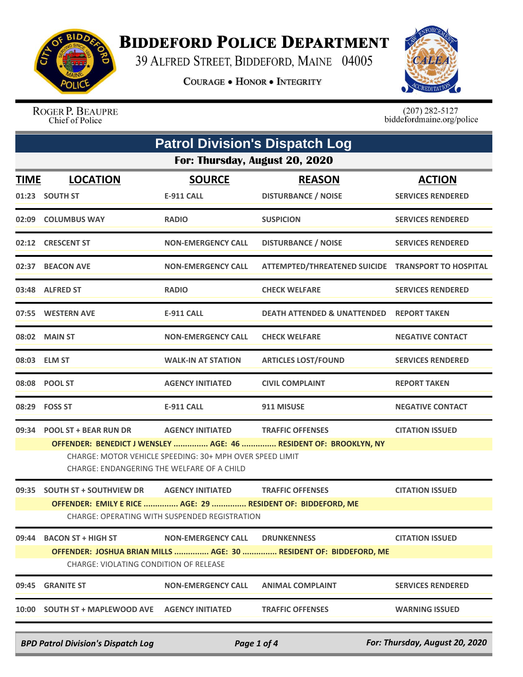

## **BIDDEFORD POLICE DEPARTMENT**

39 ALFRED STREET, BIDDEFORD, MAINE 04005

**COURAGE . HONOR . INTEGRITY** 



ROGER P. BEAUPRE Chief of Police

 $(207)$  282-5127<br>biddefordmaine.org/police

|                                               | <b>Patrol Division's Dispatch Log</b>                                                                  |                                          |                                                                   |                          |  |  |
|-----------------------------------------------|--------------------------------------------------------------------------------------------------------|------------------------------------------|-------------------------------------------------------------------|--------------------------|--|--|
|                                               | For: Thursday, August 20, 2020                                                                         |                                          |                                                                   |                          |  |  |
| <u>TIME</u>                                   | <b>LOCATION</b>                                                                                        | <b>SOURCE</b>                            | <b>REASON</b>                                                     | <b>ACTION</b>            |  |  |
|                                               | 01:23 SOUTH ST                                                                                         | <b>E-911 CALL</b>                        | <b>DISTURBANCE / NOISE</b>                                        | <b>SERVICES RENDERED</b> |  |  |
|                                               | 02:09 COLUMBUS WAY                                                                                     | <b>RADIO</b>                             | <b>SUSPICION</b>                                                  | <b>SERVICES RENDERED</b> |  |  |
|                                               | 02:12 CRESCENT ST                                                                                      | <b>NON-EMERGENCY CALL</b>                | <b>DISTURBANCE / NOISE</b>                                        | <b>SERVICES RENDERED</b> |  |  |
| 02:37                                         | <b>BEACON AVE</b>                                                                                      | <b>NON-EMERGENCY CALL</b>                | ATTEMPTED/THREATENED SUICIDE TRANSPORT TO HOSPITAL                |                          |  |  |
|                                               | 03:48 ALFRED ST                                                                                        | <b>RADIO</b>                             | <b>CHECK WELFARE</b>                                              | <b>SERVICES RENDERED</b> |  |  |
|                                               | 07:55 WESTERN AVE                                                                                      | <b>E-911 CALL</b>                        | DEATH ATTENDED & UNATTENDED                                       | <b>REPORT TAKEN</b>      |  |  |
|                                               | 08:02 MAIN ST                                                                                          | <b>NON-EMERGENCY CALL</b>                | <b>CHECK WELFARE</b>                                              | <b>NEGATIVE CONTACT</b>  |  |  |
|                                               | 08:03 ELM ST                                                                                           | <b>WALK-IN AT STATION</b>                | <b>ARTICLES LOST/FOUND</b>                                        | <b>SERVICES RENDERED</b> |  |  |
|                                               | 08:08 POOL ST                                                                                          | <b>AGENCY INITIATED</b>                  | <b>CIVIL COMPLAINT</b>                                            | <b>REPORT TAKEN</b>      |  |  |
|                                               | 08:29    FOSS ST                                                                                       | <b>E-911 CALL</b>                        | 911 MISUSE                                                        | <b>NEGATIVE CONTACT</b>  |  |  |
| 09:34                                         | <b>POOL ST + BEAR RUN DR</b>                                                                           | <b>AGENCY INITIATED TRAFFIC OFFENSES</b> |                                                                   | <b>CITATION ISSUED</b>   |  |  |
|                                               |                                                                                                        |                                          | OFFENDER: BENEDICT J WENSLEY  AGE: 46  RESIDENT OF: BROOKLYN, NY  |                          |  |  |
|                                               | CHARGE: MOTOR VEHICLE SPEEDING: 30+ MPH OVER SPEED LIMIT<br>CHARGE: ENDANGERING THE WELFARE OF A CHILD |                                          |                                                                   |                          |  |  |
| 09:35                                         | <b>SOUTH ST + SOUTHVIEW DR AGENCY INITIATED</b>                                                        |                                          | <b>TRAFFIC OFFENSES</b>                                           | <b>CITATION ISSUED</b>   |  |  |
|                                               | OFFENDER: EMILY E RICE  AGE: 29  RESIDENT OF: BIDDEFORD, ME                                            |                                          |                                                                   |                          |  |  |
| CHARGE: OPERATING WITH SUSPENDED REGISTRATION |                                                                                                        |                                          |                                                                   |                          |  |  |
| 09:44                                         | <b>BACON ST + HIGH ST</b>                                                                              | <b>NON-EMERGENCY CALL</b>                | <b>DRUNKENNESS</b>                                                | <b>CITATION ISSUED</b>   |  |  |
|                                               |                                                                                                        |                                          | OFFENDER: JOSHUA BRIAN MILLS  AGE: 30  RESIDENT OF: BIDDEFORD, ME |                          |  |  |
| CHARGE: VIOLATING CONDITION OF RELEASE        |                                                                                                        |                                          |                                                                   |                          |  |  |
| 09:45                                         | <b>GRANITE ST</b>                                                                                      | <b>NON-EMERGENCY CALL</b>                | <b>ANIMAL COMPLAINT</b>                                           | <b>SERVICES RENDERED</b> |  |  |
|                                               |                                                                                                        |                                          | <b>TRAFFIC OFFENSES</b>                                           | <b>WARNING ISSUED</b>    |  |  |
|                                               |                                                                                                        |                                          |                                                                   |                          |  |  |

*BPD Patrol Division's Dispatch Log Page 1 of 4 For: Thursday, August 20, 2020*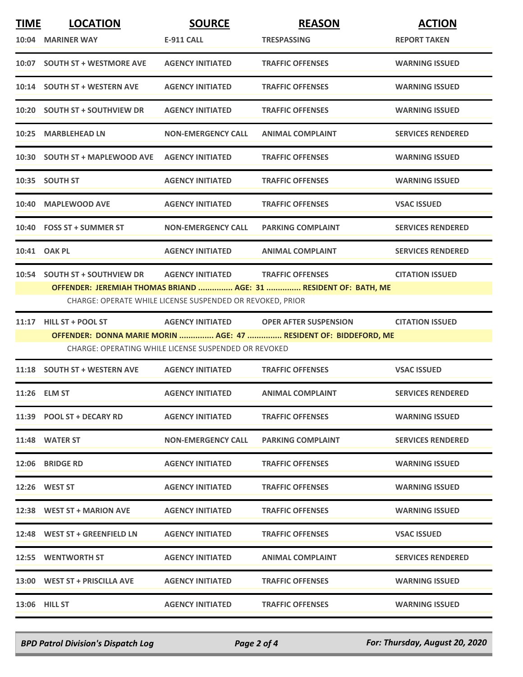| <b>TIME</b> | <b>LOCATION</b>                | <b>SOURCE</b>                                             | <b>REASON</b>                                                                                    | <b>ACTION</b>            |
|-------------|--------------------------------|-----------------------------------------------------------|--------------------------------------------------------------------------------------------------|--------------------------|
|             | 10:04 MARINER WAY              | <b>E-911 CALL</b>                                         | <b>TRESPASSING</b>                                                                               | <b>REPORT TAKEN</b>      |
|             | 10:07 SOUTH ST + WESTMORE AVE  | <b>AGENCY INITIATED</b>                                   | <b>TRAFFIC OFFENSES</b>                                                                          | <b>WARNING ISSUED</b>    |
|             | 10:14 SOUTH ST + WESTERN AVE   | <b>AGENCY INITIATED</b>                                   | <b>TRAFFIC OFFENSES</b>                                                                          | <b>WARNING ISSUED</b>    |
|             | 10:20 SOUTH ST + SOUTHVIEW DR  | <b>AGENCY INITIATED</b>                                   | <b>TRAFFIC OFFENSES</b>                                                                          | <b>WARNING ISSUED</b>    |
|             | 10:25 MARBLEHEAD LN            | <b>NON-EMERGENCY CALL</b>                                 | <b>ANIMAL COMPLAINT</b>                                                                          | <b>SERVICES RENDERED</b> |
|             | 10:30 SOUTH ST + MAPLEWOOD AVE | <b>AGENCY INITIATED</b>                                   | <b>TRAFFIC OFFENSES</b>                                                                          | <b>WARNING ISSUED</b>    |
|             | 10:35 SOUTH ST                 | <b>AGENCY INITIATED</b>                                   | <b>TRAFFIC OFFENSES</b>                                                                          | <b>WARNING ISSUED</b>    |
|             | 10:40 MAPLEWOOD AVE            | <b>AGENCY INITIATED</b>                                   | <b>TRAFFIC OFFENSES</b>                                                                          | <b>VSAC ISSUED</b>       |
|             | 10:40 FOSS ST + SUMMER ST      | <b>NON-EMERGENCY CALL</b>                                 | <b>PARKING COMPLAINT</b>                                                                         | <b>SERVICES RENDERED</b> |
|             | 10:41 OAK PL                   | <b>AGENCY INITIATED</b>                                   | <b>ANIMAL COMPLAINT</b>                                                                          | <b>SERVICES RENDERED</b> |
|             | 10:54 SOUTH ST + SOUTHVIEW DR  | <b>AGENCY INITIATED</b>                                   | <b>TRAFFIC OFFENSES</b>                                                                          | <b>CITATION ISSUED</b>   |
|             |                                | CHARGE: OPERATE WHILE LICENSE SUSPENDED OR REVOKED, PRIOR | OFFENDER: JEREMIAH THOMAS BRIAND  AGE: 31  RESIDENT OF: BATH, ME                                 |                          |
|             |                                | <b>AGENCY INITIATED</b>                                   |                                                                                                  |                          |
|             | $11:17$ HILL ST + POOL ST      |                                                           | <b>OPER AFTER SUSPENSION</b><br>OFFENDER: DONNA MARIE MORIN  AGE: 47  RESIDENT OF: BIDDEFORD, ME | <b>CITATION ISSUED</b>   |
|             |                                | CHARGE: OPERATING WHILE LICENSE SUSPENDED OR REVOKED      |                                                                                                  |                          |
|             | 11:18 SOUTH ST + WESTERN AVE   | <b>AGENCY INITIATED</b>                                   | <b>TRAFFIC OFFENSES</b>                                                                          | <b>VSAC ISSUED</b>       |
|             | 11:26 ELM ST                   | <b>AGENCY INITIATED</b>                                   | <b>ANIMAL COMPLAINT</b>                                                                          | <b>SERVICES RENDERED</b> |
|             | 11:39 POOL ST + DECARY RD      | <b>AGENCY INITIATED</b>                                   | <b>TRAFFIC OFFENSES</b>                                                                          | <b>WARNING ISSUED</b>    |
|             | 11:48 WATER ST                 | <b>NON-EMERGENCY CALL</b>                                 | <b>PARKING COMPLAINT</b>                                                                         | <b>SERVICES RENDERED</b> |
|             | 12:06 BRIDGE RD                | <b>AGENCY INITIATED</b>                                   | <b>TRAFFIC OFFENSES</b>                                                                          | <b>WARNING ISSUED</b>    |
|             | 12:26 WEST ST                  | <b>AGENCY INITIATED</b>                                   | <b>TRAFFIC OFFENSES</b>                                                                          | <b>WARNING ISSUED</b>    |
|             | 12:38 WEST ST + MARION AVE     | <b>AGENCY INITIATED</b>                                   | <b>TRAFFIC OFFENSES</b>                                                                          | <b>WARNING ISSUED</b>    |
|             | 12:48 WEST ST + GREENFIELD LN  | <b>AGENCY INITIATED</b>                                   | <b>TRAFFIC OFFENSES</b>                                                                          | <b>VSAC ISSUED</b>       |
|             | 12:55 WENTWORTH ST             | <b>AGENCY INITIATED</b>                                   | <b>ANIMAL COMPLAINT</b>                                                                          | <b>SERVICES RENDERED</b> |
|             | 13:00 WEST ST + PRISCILLA AVE  | <b>AGENCY INITIATED</b>                                   | <b>TRAFFIC OFFENSES</b>                                                                          | <b>WARNING ISSUED</b>    |
|             | <b>13:06 HILL ST</b>           | <b>AGENCY INITIATED</b>                                   | <b>TRAFFIC OFFENSES</b>                                                                          | <b>WARNING ISSUED</b>    |

*BPD Patrol Division's Dispatch Log Page 2 of 4 For: Thursday, August 20, 2020*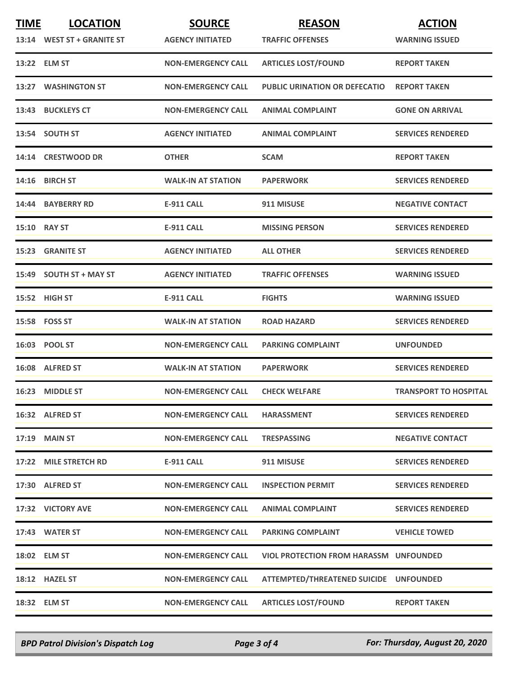| <b>TIME</b> | <b>LOCATION</b>            | <b>SOURCE</b>             | <b>REASON</b>                                 | <b>ACTION</b>                |
|-------------|----------------------------|---------------------------|-----------------------------------------------|------------------------------|
|             | 13:14 WEST ST + GRANITE ST | <b>AGENCY INITIATED</b>   | <b>TRAFFIC OFFENSES</b>                       | <b>WARNING ISSUED</b>        |
|             | 13:22 ELM ST               | <b>NON-EMERGENCY CALL</b> | <b>ARTICLES LOST/FOUND</b>                    | <b>REPORT TAKEN</b>          |
| 13:27       | <b>WASHINGTON ST</b>       | <b>NON-EMERGENCY CALL</b> | <b>PUBLIC URINATION OR DEFECATIO</b>          | <b>REPORT TAKEN</b>          |
|             | 13:43 BUCKLEYS CT          | <b>NON-EMERGENCY CALL</b> | <b>ANIMAL COMPLAINT</b>                       | <b>GONE ON ARRIVAL</b>       |
|             | 13:54 SOUTH ST             | <b>AGENCY INITIATED</b>   | <b>ANIMAL COMPLAINT</b>                       | <b>SERVICES RENDERED</b>     |
|             | 14:14 CRESTWOOD DR         | <b>OTHER</b>              | <b>SCAM</b>                                   | <b>REPORT TAKEN</b>          |
|             | 14:16 BIRCH ST             | <b>WALK-IN AT STATION</b> | <b>PAPERWORK</b>                              | <b>SERVICES RENDERED</b>     |
|             | 14:44 BAYBERRY RD          | E-911 CALL                | 911 MISUSE                                    | <b>NEGATIVE CONTACT</b>      |
|             | 15:10 RAY ST               | <b>E-911 CALL</b>         | <b>MISSING PERSON</b>                         | <b>SERVICES RENDERED</b>     |
| 15:23       | <b>GRANITE ST</b>          | <b>AGENCY INITIATED</b>   | <b>ALL OTHER</b>                              | <b>SERVICES RENDERED</b>     |
|             | 15:49 SOUTH ST + MAY ST    | <b>AGENCY INITIATED</b>   | <b>TRAFFIC OFFENSES</b>                       | <b>WARNING ISSUED</b>        |
|             | 15:52 HIGH ST              | E-911 CALL                | <b>FIGHTS</b>                                 | <b>WARNING ISSUED</b>        |
|             | 15:58 FOSS ST              | <b>WALK-IN AT STATION</b> | <b>ROAD HAZARD</b>                            | <b>SERVICES RENDERED</b>     |
|             | 16:03 POOL ST              | <b>NON-EMERGENCY CALL</b> | <b>PARKING COMPLAINT</b>                      | <b>UNFOUNDED</b>             |
|             | 16:08 ALFRED ST            | <b>WALK-IN AT STATION</b> | <b>PAPERWORK</b>                              | <b>SERVICES RENDERED</b>     |
|             | 16:23 MIDDLE ST            | <b>NON-EMERGENCY CALL</b> | <b>CHECK WELFARE</b>                          | <b>TRANSPORT TO HOSPITAL</b> |
|             | 16:32 ALFRED ST            | <b>NON-EMERGENCY CALL</b> | <b>HARASSMENT</b>                             | <b>SERVICES RENDERED</b>     |
|             | <b>17:19 MAIN ST</b>       | <b>NON-EMERGENCY CALL</b> | <b>TRESPASSING</b>                            | <b>NEGATIVE CONTACT</b>      |
|             | 17:22 MILE STRETCH RD      | <b>E-911 CALL</b>         | 911 MISUSE                                    | <b>SERVICES RENDERED</b>     |
|             | 17:30 ALFRED ST            | <b>NON-EMERGENCY CALL</b> | <b>INSPECTION PERMIT</b>                      | <b>SERVICES RENDERED</b>     |
|             | 17:32 VICTORY AVE          | <b>NON-EMERGENCY CALL</b> | <b>ANIMAL COMPLAINT</b>                       | <b>SERVICES RENDERED</b>     |
|             | 17:43 WATER ST             | <b>NON-EMERGENCY CALL</b> | <b>PARKING COMPLAINT</b>                      | <b>VEHICLE TOWED</b>         |
|             | 18:02 ELM ST               | <b>NON-EMERGENCY CALL</b> | <b>VIOL PROTECTION FROM HARASSM UNFOUNDED</b> |                              |
|             | 18:12 HAZEL ST             | <b>NON-EMERGENCY CALL</b> | ATTEMPTED/THREATENED SUICIDE UNFOUNDED        |                              |
|             | 18:32 ELM ST               | <b>NON-EMERGENCY CALL</b> | <b>ARTICLES LOST/FOUND</b>                    | <b>REPORT TAKEN</b>          |

*BPD Patrol Division's Dispatch Log Page 3 of 4 For: Thursday, August 20, 2020*